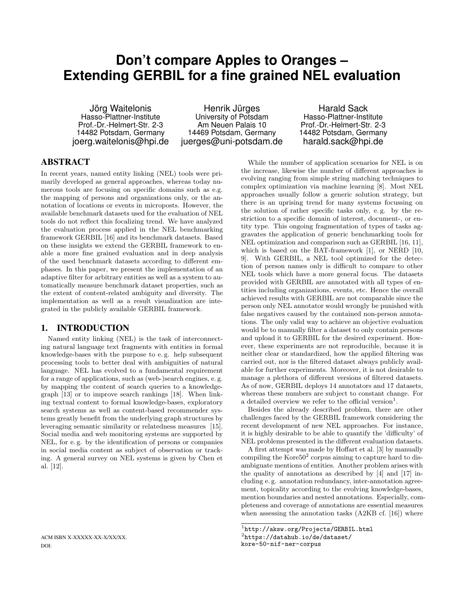# **Don't compare Apples to Oranges – Extending GERBIL for a fine grained NEL evaluation**

Jörg Waitelonis Hasso-Plattner-Institute Prof.-Dr.-Helmert-Str. 2-3 14482 Potsdam, Germany joerg.waitelonis@hpi.de

Henrik Jürges University of Potsdam Am Neuen Palais 10 14469 Potsdam, Germany juerges@uni-potsdam.de

Harald Sack Hasso-Plattner-Institute Prof.-Dr.-Helmert-Str. 2-3 14482 Potsdam, Germany harald.sack@hpi.de

# ABSTRACT

In recent years, named entity linking (NEL) tools were primarily developed as general approaches, whereas today numerous tools are focusing on specific domains such as e.g. the mapping of persons and organizations only, or the annotation of locations or events in microposts. However, the available benchmark datasets used for the evaluation of NEL tools do not reflect this focalizing trend. We have analyzed the evaluation process applied in the NEL benchmarking framework GERBIL [16] and its benchmark datasets. Based on these insights we extend the GERBIL framework to enable a more fine grained evaluation and in deep analysis of the used benchmark datasets according to different emphases. In this paper, we present the implementation of an adaptive filter for arbitrary entities as well as a system to automatically measure benchmark dataset properties, such as the extent of content-related ambiguity and diversity. The implementation as well as a result visualization are integrated in the publicly available GERBIL framework.

## 1. INTRODUCTION

Named entity linking (NEL) is the task of interconnecting natural language text fragments with entities in formal knowledge-bases with the purpose to e. g. help subsequent processing tools to better deal with ambiguities of natural language. NEL has evolved to a fundamental requirement for a range of applications, such as (web-)search engines, e. g. by mapping the content of search queries to a knowledgegraph [13] or to improve search rankings [18]. When linking textual content to formal knowledge-bases, exploratory search systems as well as content-based recommender systems greatly benefit from the underlying graph structures by leveraging semantic similarity or relatedness measures [15]. Social media and web monitoring systems are supported by NEL, for e. g. by the identification of persons or companies in social media content as subject of observation or tracking. A general survey on NEL systems is given by Chen et al. [12].

While the number of application scenarios for NEL is on the increase, likewise the number of different approaches is evolving ranging from simple string matching techniques to complex optimization via machine learning [8]. Most NEL approaches usually follow a generic solution strategy, but there is an uprising trend for many systems focussing on the solution of rather specific tasks only, e. g. by the restriction to a specific domain of interest, document-, or entity type. This ongoing fragmentation of types of tasks aggravates the application of generic benchmarking tools for NEL optimization and comparison such as GERBIL [16, 11], which is based on the BAT-framework [1], or NERD [10, 9]. With GERBIL, a NEL tool optimized for the detection of person names only is difficult to compare to other NEL tools which have a more general focus. The datasets provided with GERBIL are annotated with all types of entities including organizations, events, etc. Hence the overall achieved results with GERBIL are not comparable since the person only NEL annotator would wrongly be punished with false negatives caused by the contained non-person annotations. The only valid way to achieve an objective evaluation would be to manually filter a dataset to only contain persons and upload it to GERBIL for the desired experiment. However, these experiments are not reproducible, because it is neither clear or standardized, how the applied filtering was carried out, nor is the filtered dataset always publicly available for further experiments. Moreover, it is not desirable to manage a plethora of different versions of filtered datasets. As of now, GERBIL deploys 14 annotators and 17 datasets, whereas these numbers are subject to constant change. For a detailed overview we refer to the official version<sup>1</sup>.

Besides the already described problem, there are other challenges faced by the GERBIL framework considering the recent development of new NEL approaches. For instance, it is highly desirable to be able to quantify the 'difficulty' of NEL problems presented in the different evaluation datasets.

A first attempt was made by Hoffart et al. [3] by manually compiling the Kore $50<sup>2</sup>$  corpus aiming to capture hard to disambiguate mentions of entities. Another problem arises with the quality of annotations as described by [4] and [17] including e. g. annotation redundancy, inter-annotation agreement, topicality according to the evolving knowledge-bases, mention boundaries and nested annotations. Especially, completeness and coverage of annotations are essential measures when assessing the annotation tasks (A2KB cf. [16]) where

<sup>1</sup> http://aksw.org/Projects/GERBIL.html

 $^{2}$ https://datahub.io/de/dataset/

kore-50-nif-ner-corpus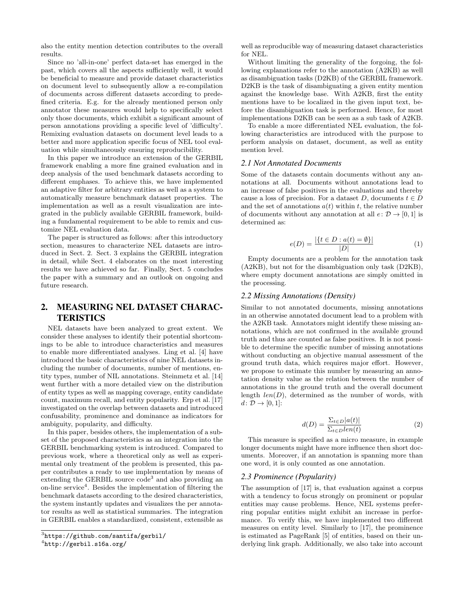also the entity mention detection contributes to the overall results.

Since no 'all-in-one' perfect data-set has emerged in the past, which covers all the aspects sufficiently well, it would be beneficial to measure and provide dataset characteristics on document level to subsequently allow a re-compilation of documents across different datasets according to predefined criteria. E.g. for the already mentioned person only annotator these measures would help to specifically select only those documents, which exhibit a significant amount of person annotations providing a specific level of 'difficulty'. Remixing evaluation datasets on document level leads to a better and more application specific focus of NEL tool evaluation while simultaneously ensuring reproducibility.

In this paper we introduce an extension of the GERBIL framework enabling a more fine grained evaluation and in deep analysis of the used benchmark datasets according to different emphases. To achieve this, we have implemented an adaptive filter for arbitrary entities as well as a system to automatically measure benchmark dataset properties. The implementation as well as a result visualization are integrated in the publicly available GERBIL framework, building a fundamental requirement to be able to remix and customize NEL evaluation data.

The paper is structured as follows: after this introductory section, measures to characterize NEL datasets are introduced in Sect. 2. Sect. 3 explains the GERBIL integration in detail, while Sect. 4 elaborates on the most interesting results we have achieved so far. Finally, Sect. 5 concludes the paper with a summary and an outlook on ongoing and future research.

# 2. MEASURING NEL DATASET CHARAC-**TERISTICS**

NEL datasets have been analyzed to great extent. We consider these analyses to identify their potential shortcomings to be able to introduce characteristics and measures to enable more differentiated analyses. Ling et al. [4] have introduced the basic characteristics of nine NEL datasets including the number of documents, number of mentions, entity types, number of NIL annotations. Steinmetz et al. [14] went further with a more detailed view on the distribution of entity types as well as mapping coverage, entity candidate count, maximum recall, and entity popularity. Erp et al. [17] investigated on the overlap between datasets and introduced confusability, prominence and dominance as indicators for ambiguity, popularity, and difficulty.

In this paper, besides others, the implementation of a subset of the proposed characteristics as an integration into the GERBIL benchmarking system is introduced. Compared to previous work, where a theoretical only as well as experimental only treatment of the problem is presented, this paper contributes a ready to use implementation by means of extending the GERBIL source code<sup>3</sup> and also providing an on-line service<sup>4</sup>. Besides the implementation of filtering the benchmark datasets according to the desired characteristics, the system instantly updates and visualizes the per annotator results as well as statistical summaries. The integration in GERBIL enables a standardized, consistent, extensible as

well as reproducible way of measuring dataset characteristics for NEL.

Without limiting the generality of the forgoing, the following explanations refer to the annotation (A2KB) as well as disambiguation tasks (D2KB) of the GERBIL framework. D2KB is the task of disambiguating a given entity mention against the knowledge base. With A2KB, first the entity mentions have to be localized in the given input text, before the disambiguation task is performed. Hence, for most implementations D2KB can be seen as a sub task of A2KB.

To enable a more differentiated NEL evaluation, the following characteristics are introduced with the purpose to perform analysis on dataset, document, as well as entity mention level.

## *2.1 Not Annotated Documents*

Some of the datasets contain documents without any annotations at all. Documents without annotations lead to an increase of false positives in the evaluations and thereby cause a loss of precision. For a dataset D, documents  $t \in D$ and the set of annotations  $a(t)$  within t, the relative number of documents without any annotation at all  $e: \mathcal{D} \to [0, 1]$  is determined as:

$$
e(D) = \frac{|\{t \in D : a(t) = \emptyset\}|}{|D|}
$$
 (1)

Empty documents are a problem for the annotation task (A2KB), but not for the disambiguation only task (D2KB), where empty document annotations are simply omitted in the processing.

#### *2.2 Missing Annotations (Density)*

Similar to not annotated documents, missing annotations in an otherwise annotated document lead to a problem with the A2KB task. Annotators might identify these missing annotations, which are not confirmed in the available ground truth and thus are counted as false positives. It is not possible to determine the specific number of missing annotations without conducting an objective manual assessment of the ground truth data, which requires major effort. However, we propose to estimate this number by measuring an annotation density value as the relation between the number of annotations in the ground truth and the overall document length  $len(D)$ , determined as the number of words, with  $d: \mathcal{D} \rightarrow [0,1]$ :

$$
d(D) = \frac{\sum_{t \in D} |a(t)|}{\sum_{t \in D} len(t)} \tag{2}
$$

This measure is specified as a micro measure, in example longer documents might have more influence then short documents. Moreover, if an annotation is spanning more than one word, it is only counted as one annotation.

### *2.3 Prominence (Popularity)*

The assumption of [17] is, that evaluation against a corpus with a tendency to focus strongly on prominent or popular entities may cause problems. Hence, NEL systems preferring popular entities might exhibit an increase in performance. To verify this, we have implemented two different measures on entity level. Similarly to [17], the prominence is estimated as PageRank [5] of entities, based on their underlying link graph. Additionally, we also take into account

 ${}^{3}$ https://github.com/santifa/gerbil/

 $4$ http://gerbil.s16a.org/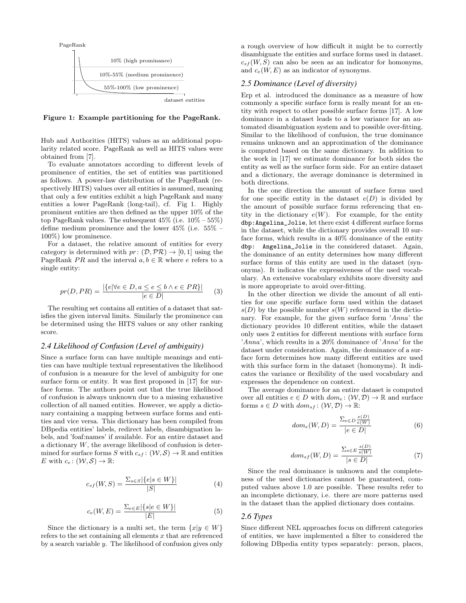

Figure 1: Example partitioning for the PageRank.

Hub and Authorities (HITS) values as an additional popularity related score. PageRank as well as HITS values were obtained from [7].

To evaluate annotators according to different levels of prominence of entities, the set of entities was partitioned as follows. A power-law distribution of the PageRank (respectively HITS) values over all entities is assumed, meaning that only a few entities exhibit a high PageRank and many entities a lower PageRank (long-tail), cf. Fig 1. Highly prominent entities are then defined as the upper 10% of the top PageRank values. The subsequent  $45\%$  (i.e.  $10\% - 55\%$ ) define medium prominence and the lower 45% (i.e. 55% – 100%) low prominence.

For a dataset, the relative amount of entities for every category is determined with  $pr: (\mathcal{D}, \mathcal{PR}) \to [0, 1]$  using the PageRank PR and the interval  $a, b \in \mathbb{R}$  where e refers to a single entity:

$$
pr(D, PR) = \frac{|\{e|\forall e \in D, a \le e \le b \land e \in PR\}|}{|e \in D|} \tag{3}
$$

The resulting set contains all entities of a dataset that satisfies the given interval limits. Similarly the prominence can be determined using the HITS values or any other ranking score.

#### *2.4 Likelihood of Confusion (Level of ambiguity)*

Since a surface form can have multiple meanings and entities can have multiple textual representatives the likelihood of confusion is a measure for the level of ambiguity for one surface form or entity. It was first proposed in [17] for surface forms. The authors point out that the true likelihood of confusion is always unknown due to a missing exhaustive collection of all named entities. However, we apply a dictionary containing a mapping between surface forms and entities and vice versa. This dictionary has been compiled from DBpedia entities' labels, redirect labels, disambiguation labels, and 'foaf:names' if available. For an entire dataset and a dictionary  $W$ , the average likelihood of confusion is determined for surface forms S with  $c_{s}f : (\mathcal{W}, \mathcal{S}) \to \mathbb{R}$  and entities E with  $c_e: (\mathcal{W}, \mathcal{S}) \to \mathbb{R}$ :

$$
c_{sf}(W,S) = \frac{\sum_{s \in S} |\{e|s \in W\}|}{|S|} \tag{4}
$$

$$
c_e(W, E) = \frac{\sum_{e \in E} |\{s|e \in W\}|}{|E|} \tag{5}
$$

Since the dictionary is a multi set, the term  $\{x|y \in W\}$ refers to the set containing all elements  $x$  that are referenced by a search variable y. The likelihood of confusion gives only

a rough overview of how difficult it might be to correctly disambiguate the entities and surface forms used in dataset.  $c_{s,f}(W, S)$  can also be seen as an indicator for homonyms, and  $c_e(W, E)$  as an indicator of synonyms.

## *2.5 Dominance (Level of diversity)*

Erp et al. introduced the dominance as a measure of how commonly a specific surface form is really meant for an entity with respect to other possible surface forms [17]. A low dominance in a dataset leads to a low variance for an automated disambiguation system and to possible over-fitting. Similar to the likelihood of confusion, the true dominance remains unknown and an approximation of the dominance is computed based on the same dictionary. In addition to the work in [17] we estimate dominance for both sides the entity as well as the surface form side. For an entire dataset and a dictionary, the average dominance is determined in both directions.

In the one direction the amount of surface forms used for one specific entity in the dataset  $e(D)$  is divided by the amount of possible surface forms referencing that entity in the dictionary  $e(W)$ . For example, for the entity dbp:Angelina\_Jolie, let there exist 4 different surface forms in the dataset, while the dictionary provides overall 10 surface forms, which results in a 40% dominance of the entity dbp: Angelina\_Jolie in the considered dataset. Again, the dominance of an entity determines how many different surface forms of this entity are used in the dataset (synonyms). It indicates the expressiveness of the used vocabulary. An extensive vocabulary exhibits more diversity and is more appropriate to avoid over-fitting.

In the other direction we divide the amount of all entities for one specific surface form used within the dataset  $s(D)$  by the possible number  $s(W)$  referenced in the dictionary. For example, for the given surface form 'Anna' the dictionary provides 10 different entities, while the dataset only uses 2 entities for different mentions with surface form 'Anna', which results in a 20% dominance of 'Anna' for the dataset under consideration. Again, the dominance of a surface form determines how many different entities are used with this surface form in the dataset (homonyms). It indicates the variance or flexibility of the used vocabulary and expresses the dependence on context.

The average dominance for an entire dataset is computed over all entities  $e \in D$  with  $dom_e: (\mathcal{W}, \mathcal{D}) \to \mathbb{R}$  and surface forms  $s \in D$  with  $dom_{sf} : (\mathcal{W}, \mathcal{D}) \to \mathbb{R}$ :

$$
dom_e(W, D) = \frac{\sum_{e \in D} \frac{e(D)}{e(W)}}{|e \in D|}
$$
(6)

$$
dom_{sf}(W,D) = \frac{\sum_{s \in E} \frac{s(D)}{s(W)}}{|s \in D|}
$$
\n(7)

Since the real dominance is unknown and the completeness of the used dictionaries cannot be guaranteed, computed values above 1.0 are possible. These results refer to an incomplete dictionary, i.e. there are more patterns used in the dataset than the applied dictionary does contains.

#### *2.6 Types*

Since different NEL approaches focus on different categories of entities, we have implemented a filter to considered the following DBpedia entity types separately: person, places,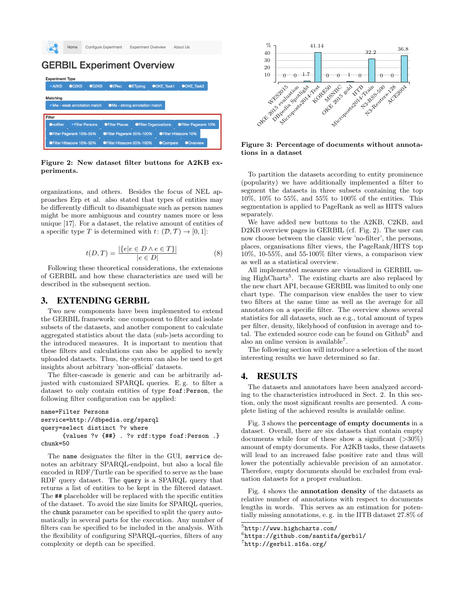

Figure 2: New dataset filter buttons for A2KB experiments.

organizations, and others. Besides the focus of NEL approaches Erp et al. also stated that types of entities may be differently difficult to disambiguate such as person names might be more ambiguous and country names more or less unique [17]. For a dataset, the relative amount of entities of a specific type T is determined with  $t: (\mathcal{D}, \mathcal{T}) \to [0, 1]$ :

$$
t(D,T) = \frac{|\{e|e \in D \land e \in T\}|}{|e \in D|}
$$
 (8)

Following these theoretical considerations, the extensions of GERBIL and how these characteristics are used will be described in the subsequent section.

#### 3. EXTENDING GERBIL

Two new components have been implemented to extend the GERBIL framework: one component to filter and isolate subsets of the datasets, and another component to calculate aggregated statistics about the data (sub-)sets according to the introduced measures. It is important to mention that these filters and calculations can also be applied to newly uploaded datasets. Thus, the system can also be used to get insights about arbitrary 'non-official' datasets.

The filter-cascade is generic and can be arbitrarily adjusted with customized SPARQL queries. E. g. to filter a dataset to only contain entities of type foaf:Person, the following filter configuration can be applied:

name=Filter Persons service=http://dbpedia.org/sparql query=select distinct ?v where {values ?v {##} . ?v rdf:type foaf:Person .} chunk=50

The name designates the filter in the GUI, service denotes an arbitrary SPARQL-endpoint, but also a local file encoded in RDF/Turtle can be specified to serve as the base RDF query dataset. The query is a SPARQL query that returns a list of entities to be kept in the filtered dataset. The ## placeholder will be replaced with the specific entities of the dataset. To avoid the size limits for SPARQL queries, the chunk parameter can be specified to split the query automatically in several parts for the execution. Any number of filters can be specified to be included in the analysis. With the flexibility of configuring SPARQL-queries, filters of any complexity or depth can be specified.



Figure 3: Percentage of documents without annotations in a dataset

To partition the datasets according to entity prominence (popularity) we have additionally implemented a filter to segment the datasets in three subsets containing the top 10%, 10% to 55%, and 55% to 100% of the entities. This segmentation is applied to PageRank as well as HITS values separately.

We have added new buttons to the A2KB, C2KB, and D2KB overview pages in GERBIL (cf. Fig. 2). The user can now choose between the classic view 'no-filter', the persons, places, organisations filter views, the PageRank/HITS top 10%, 10-55%, and 55-100% filter views, a comparison view as well as a statistical overview.

All implemented measures are visualized in GERBIL using HighCharts<sup>5</sup>. The existing charts are also replaced by the new chart API, because GERBIL was limited to only one chart type. The comparison view enables the user to view two filters at the same time as well as the average for all annotators on a specific filter. The overview shows several statistics for all datasets, such as e.g., total amount of types per filter, density, likelyhood of confusion in average and total. The extended source code can be found on  $\text{Github}^6$  and also an online version is available<sup>7</sup>.

The following section will introduce a selection of the most interesting results we have determined so far.

## 4. RESULTS

The datasets and annotators have been analyzed according to the characteristics introduced in Sect. 2. In this section, only the most significant results are presented. A complete listing of the achieved results is available online.

Fig. 3 shows the percentage of empty documents in a dataset. Overall, there are six datasets that contain empty documents while four of these show a significant  $(>30\%)$ amount of empty documents. For A2KB tasks, these datasets will lead to an increased false positive rate and thus will lower the potentially achievable precision of an annotator. Therefore, empty documents should be excluded from evaluation datasets for a proper evaluation.

Fig. 4 shows the annotation density of the datasets as relative number of annotations with respect to documents lengths in words. This serves as an estimation for potentially missing annotations, e. g. in the IITB dataset 27.8% of

<sup>5</sup> http://www.highcharts.com/

 $<sup>6</sup>$ https://github.com/santifa/gerbil/</sup>

 $7$ http://gerbil.s16a.org/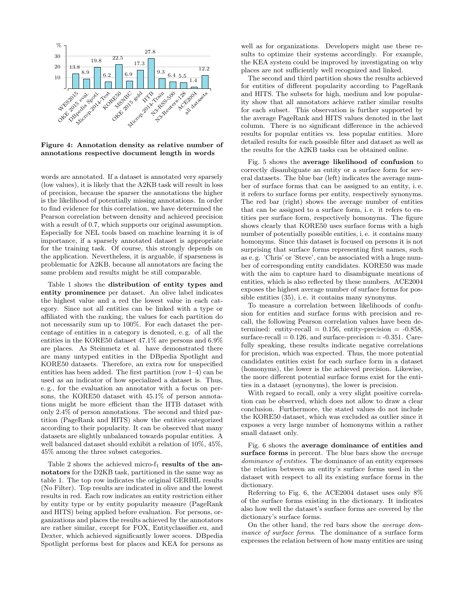

Figure 4: Annotation density as relative number of annotations respective document length in words

words are annotated. If a dataset is annotated very sparsely (low values), it is likely that the A2KB task will result in loss of precision, because the sparser the annotations the higher is the likelihood of potentially missing annotations. In order to find evidence for this correlation, we have determined the Pearson correlation between density and achieved precision with a result of 0.7, which supports our original assumption. Especially for NEL tools based on machine learning it is of importance, if a sparsely annotated dataset is appropriate for the training task. Of course, this strongly depends on the application. Nevertheless, it is arguable, if sparseness is problematic for A2KB, because all annotators are facing the same problem and results might be still comparable.

Table 1 shows the distribution of entity types and entity prominence per dataset. An olive label indicates the highest value and a red the lowest value in each category. Since not all entities can be linked with a type or affiliated with the ranking, the values for each partition do not necessarily sum up to 100%. For each dataset the percentage of entities in a category is denoted, e. g. of all the entities in the KORE50 dataset 47.1% are persons and 6.9% are places. As Steinmetz et al. have demonstrated there are many untyped entities in the DBpedia Spotlight and KORE50 datasets. Therefore, an extra row for unspecified entities has been added. The first partition (row 1–4) can be used as an indicator of how specialized a dataset is. Thus, e. g., for the evaluation an annotator with a focus on persons, the KORE50 dataset with 45.1% of person annotations might be more efficient than the IITB dataset with only 2.4% of person annotations. The second and third partition (PageRank and HITS) show the entities categorized according to their popularity. It can be observed that many datasets are slightly unbalanced towards popular entities. A well balanced dataset should exhibit a relation of 10%, 45%, 45% among the three subset categories.

Table 2 shows the achieved micro- $f_1$  results of the annotators for the D2KB task, partitioned in the same way as table 1. The top row indicates the original GERBIL results (No Filter). Top results are indicated in olive and the lowest results in red. Each row indicates an entity restriction either by entity type or by entity popularity measure (PageRank and HITS) being applied before evaluation. For persons, organizations and places the results achieved by the annotators are rather similar, except for FOX, Entityclassifier.eu, and Dexter, which achieved significantly lower scores. DBpedia Spotlight performs best for places and KEA for persons as well as for organizations. Developers might use these results to optimize their systems accordingly. For example, the KEA system could be improved by investigating on why places are not sufficiently well recognized and linked.

The second and third partition shows the results achieved for entities of different popularity according to PageRank and HITS. The subsets for high, medium and low popularity show that all annotators achieve rather similar results for each subset. This observation is further supported by the average PageRank and HITS values denoted in the last column. There is no significant difference in the achieved results for popular entities vs. less popular entities. More detailed results for each possible filter and dataset as well as the results for the A2KB tasks can be obtained online.

Fig. 5 shows the average likelihood of confusion to correctly disambiguate an entity or a surface form for several datasets. The blue bar (left) indicates the average number of surface forms that can be assigned to an entity, i. e. it refers to surface forms per entity, respectively synonyms. The red bar (right) shows the average number of entities that can be assigned to a surface form, i. e. it refers to entities per surface form, respectively homonyms. The figure shows clearly that KORE50 uses surface forms with a high number of potentially possible entities, i. e. it contains many homonyms. Since this dataset is focused on persons it is not surprising that surface forms representing first names, such as e. g. 'Chris' or 'Steve', can be associated with a huge number of corresponding entity candidates. KORE50 was made with the aim to capture hard to disambiguate mentions of entities, which is also reflected by these numbers. ACE2004 exposes the highest average number of surface forms for possible entities (35), i. e. it contains many synonyms.

To measure a correlation between likelihoods of confusion for entities and surface forms with precision and recall, the following Pearson correlation values have been determined: entity-recall  $= 0.156$ , entity-precision  $= -0.858$ , surface-recall  $= 0.126$ , and surface-precision  $= -0.351$ . Carefully speaking, these results indicate negative correlations for precision, which was expected. Thus, the more potential candidates entities exist for each surface form in a dataset (homonyms), the lower is the achieved precision. Likewise, the more different potential surface forms exist for the entities in a dataset (synonyms), the lower is precision.

With regard to recall, only a very slight positive correlation can be observed, which does not allow to draw a clear conclusion. Furthermore, the stated values do not include the KORE50 dataset, which was excluded as outlier since it exposes a very large number of homonyms within a rather small dataset only.

Fig. 6 shows the average dominance of entities and surface forms in percent. The blue bars show the *average* dominance of entities. The dominance of an entity expresses the relation between an entity's surface forms used in the dataset with respect to all its existing surface forms in the dictionary.

Referring to Fig. 6, the ACE2004 dataset uses only 8% of the surface forms existing in the dictionary. It indicates also how well the dataset's surface forms are covered by the dictionary's surface forms.

On the other hand, the red bars show the average dominance of surface forms. The dominance of a surface form expresses the relation between of how many entities are using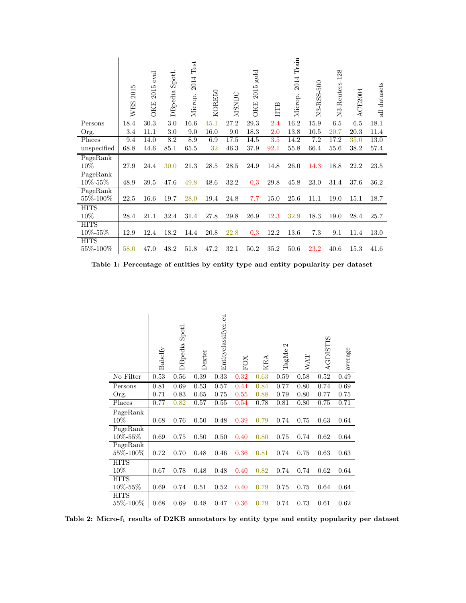|                              | 2015<br><b>WES</b> | eval<br>2015<br><b>OKE</b> | Spotl.<br>DBpedia | Test<br>2014<br>Microp. | KORE50 | NSNBC | gold<br>2015<br><b>OKE</b> | <b>IITB</b>      | Train<br>2014<br>Microp. | N3-RSS-500       | N <sub>3</sub> -Reuters-128 | ACE2004 | datasets<br>$\overline{a}$ |
|------------------------------|--------------------|----------------------------|-------------------|-------------------------|--------|-------|----------------------------|------------------|--------------------------|------------------|-----------------------------|---------|----------------------------|
| Persons                      | 18.4               | 30.3                       | $\overline{3.0}$  | 16.6                    | 45.1   | 27.2  | $\overline{29.3}$          | 2.4              | 16.2                     | 15.9             | 6.5                         | 6.5     | 18.1                       |
| Org.                         | 3.4                | 11.1                       | 3.0               | 9.0                     | 16.0   | 9.0   | 18.3                       | 2.0              | 13.8                     | 10.5             | 20.7                        | 20.3    | 11.4                       |
| Places                       | 9.4                | 14.0                       | 8.2               | 8.9                     | 6.9    | 17.5  | 14.5                       | $\overline{3.5}$ | 14.2                     | $\overline{7.2}$ | 17.2                        | 35.0    | 13.0                       |
| unspecified                  | 68.8               | 44.6                       | 85.1              | 65.5                    | 32     | 46.3  | 37.9                       | 92.1             | 55.8                     | 66.4             | 55.6                        | 38.2    | 57.4                       |
| PageRank<br>10%              | 27.9               | 24.4                       | 30.0              | 21.3                    | 28.5   | 28.5  | 24.9                       | 14.8             | 26.0                     | 14.3             | 18.8                        | 22.2    | 23.5                       |
| PageRank<br>10\%-55\%        | 48.9               | 39.5                       | 47.6              | 49.8                    | 48.6   | 32.2  | 0.3                        | 29.8             | 45.8                     | 23.0             | 31.4                        | 37.6    | 36.2                       |
| PageRank<br>55%-100%         | 22.5               | 16.6                       | 19.7              | 28.0                    | 19.4   | 24.8  | 7.7                        | 15.0             | 25.6                     | 11.1             | 19.0                        | 15.1    | 18.7                       |
| <b>HITS</b><br>10%           | 28.4               | 21.1                       | 32.4              | 31.4                    | 27.8   | 29.8  | 26.9                       | 12.3             | 32.9                     | 18.3             | 19.0                        | 28.4    | 25.7                       |
| <b>HITS</b><br>$10\% - 55\%$ | 12.9               | 12.4                       | 18.2              | 14.4                    | 20.8   | 22.8  | 0.3                        | 12.2             | 13.6                     | 7.3              | 9.1                         | 11.4    | 13.0                       |
| <b>HITS</b><br>55%-100%      | 58.0               | 47.0                       | 48.2              | 51.8                    | 47.2   | 32.1  | 50.2                       | 35.2             | 50.6                     | 23.2             | 40.6                        | 15.3    | 41.6                       |

Table 1: Percentage of entities by entity type and entity popularity per dataset

| Babelfy | DBpedia Spotl.               | Dexter                       | Entityclassifyer.eu  | FOX                          | KEA                  | $\mathfrak{a}$<br>TagMe | WAT                  | AGDISTIS             | average              |
|---------|------------------------------|------------------------------|----------------------|------------------------------|----------------------|-------------------------|----------------------|----------------------|----------------------|
|         |                              | 0.39                         |                      | 0.32                         | 0.63                 | 0.59                    | 0.58                 | 0.52                 | 0.49                 |
| 0.81    | 0.69                         | 0.53                         | 0.57                 | 0.44                         | 0.84                 | 0.77                    | 0.80                 | 0.74                 | 0.69                 |
| 0.71    | 0.83                         | 0.65                         | 0.75                 | 0.55                         | 0.88                 | 0.79                    | 0.80                 | 0.77                 | 0.75                 |
| 0.77    | 0.82                         | 0.57                         | 0.55                 | 0.54                         | 0.78                 | 0.81                    | 0.80                 | 0.75                 | 0.71                 |
|         |                              |                              |                      |                              |                      |                         |                      |                      |                      |
| 0.68    | 0.76                         | 0.50                         | 0.48                 | 0.39                         | 0.79                 | 0.74                    | 0.75                 | 0.63                 | 0.64                 |
|         |                              |                              |                      |                              |                      |                         |                      |                      |                      |
|         |                              |                              |                      |                              |                      |                         |                      |                      | 0.64                 |
|         |                              |                              |                      |                              |                      |                         |                      |                      |                      |
|         |                              |                              |                      |                              |                      |                         |                      |                      | 0.63                 |
|         |                              |                              |                      |                              |                      |                         |                      |                      |                      |
| 0.67    | 0.78                         | 0.48                         | 0.48                 | 0.40                         | 0.82                 | 0.74                    | 0.74                 | 0.62                 | 0.64                 |
|         |                              |                              |                      |                              |                      |                         |                      |                      |                      |
| 0.69    | 0.74                         | 0.51                         | 0.52                 | 0.40                         | 0.79                 | 0.75                    | 0.75                 | 0.64                 | 0.64                 |
|         |                              |                              |                      |                              |                      |                         |                      |                      |                      |
|         |                              |                              |                      |                              |                      |                         |                      |                      | 0.62                 |
|         | 0.53<br>0.69<br>0.72<br>0.68 | 0.56<br>0.75<br>0.70<br>0.69 | 0.50<br>0.48<br>0.48 | 0.33<br>0.50<br>0.46<br>0.47 | 0.40<br>0.36<br>0.36 | 0.80<br>0.81<br>0.79    | 0.75<br>0.74<br>0.74 | 0.74<br>0.75<br>0.73 | 0.62<br>0.63<br>0.61 |

Table 2: Micro-f<sub>1</sub> results of D2KB annotators by entity type and entity popularity per dataset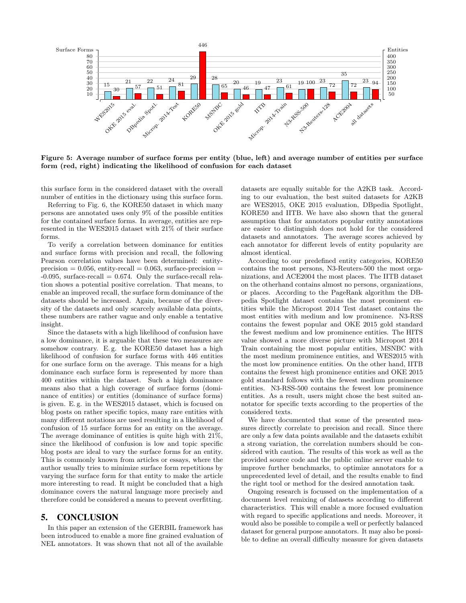

Figure 5: Average number of surface forms per entity (blue, left) and average number of entities per surface form (red, right) indicating the likelihood of confusion for each dataset

this surface form in the considered dataset with the overall number of entities in the dictionary using this surface form.

Referring to Fig. 6, the KORE50 dataset in which many persons are annotated uses only 9% of the possible entities for the contained surface forms. In average, entities are represented in the WES2015 dataset with 21% of their surface forms.

To verify a correlation between dominance for entities and surface forms with precision and recall, the following Pearson correlation values have been determined: entityprecision  $= 0.056$ , entity-recall  $= 0.063$ , surface-precision  $=$  $-0.095$ , surface-recall = 0.674. Only the surface-recall relation shows a potential positive correlation. That means, to enable an improved recall, the surface form dominance of the datasets should be increased. Again, because of the diversity of the datasets and only scarcely available data points, these numbers are rather vague and only enable a tentative insight.

Since the datasets with a high likelihood of confusion have a low dominance, it is arguable that these two measures are somehow contrary. E.g. the KORE50 dataset has a high likelihood of confusion for surface forms with 446 entities for one surface form on the average. This means for a high dominance each surface form is represented by more than 400 entities within the dataset. Such a high dominance means also that a high coverage of surface forms (dominance of entities) or entities (dominance of surface forms) is given. E. g. in the WES2015 dataset, which is focused on blog posts on rather specific topics, many rare entities with many different notations are used resulting in a likelihood of confusion of 15 surface forms for an entity on the average. The average dominance of entities is quite high with 21%, since the likelihood of confusion is low and topic specific blog posts are ideal to vary the surface forms for an entity. This is commonly known from articles or essays, where the author usually tries to minimize surface form repetitions by varying the surface form for that entity to make the article more interesting to read. It might be concluded that a high dominance covers the natural language more precisely and therefore could be considered a means to prevent overfitting.

## 5. CONCLUSION

In this paper an extension of the GERBIL framework has been introduced to enable a more fine grained evaluation of NEL annotators. It was shown that not all of the available datasets are equally suitable for the A2KB task. According to our evaluation, the best suited datasets for A2KB are WES2015, OKE 2015 evaluation, DBpedia Spotlight, KORE50 and IITB. We have also shown that the general assumption that for annotators popular entity annotations are easier to distinguish does not hold for the considered datasets and annotators. The average scores achieved by each annotator for different levels of entity popularity are almost identical.

According to our predefined entity categories, KORE50 contains the most persons, N3-Reuters-500 the most organizations, and ACE2004 the most places. The IITB dataset on the otherhand contains almost no persons, organizations, or places. According to the PageRank algorithm the DBpedia Spotlight dataset contains the most prominent entities while the Micropost 2014 Test dataset contains the most entities with medium and low prominence. N3-RSS contains the fewest popular and OKE 2015 gold standard the fewest medium and low prominence entities. The HITS value showed a more diverse picture with Micropost 2014 Train containing the most popular entities, MSNBC with the most medium prominence entities, and WES2015 with the most low prominence entities. On the other hand, IITB contains the fewest high prominence entities and OKE 2015 gold standard follows with the fewest medium prominence entities. N3-RSS-500 contains the fewest low prominence entities. As a result, users might chose the best suited annotator for specific texts according to the properties of the considered texts.

We have documented that some of the presented measures directly correlate to precision and recall. Since there are only a few data points available and the datasets exhibit a strong variation, the correlation numbers should be considered with caution. The results of this work as well as the provided source code and the public online server enable to improve further benchmarks, to optimize annotators for a unprecedented level of detail, and the results enable to find the right tool or method for the desired annotation task.

Ongoing research is focussed on the implementation of a document level remixing of datasets according to different characteristics. This will enable a more focused evaluation with regard to specific applications and needs. Moreover, it would also be possible to compile a well or perfectly balanced dataset for general purpose annotators. It may also be possible to define an overall difficulty measure for given datasets